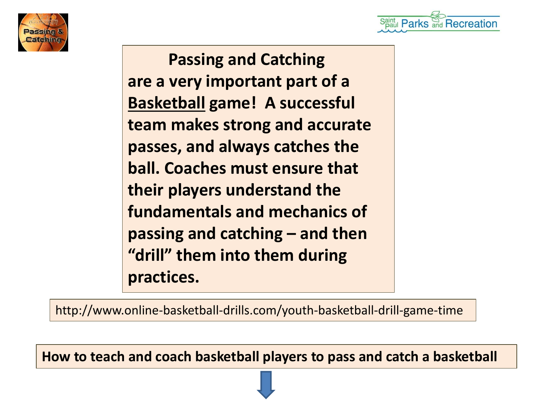



 **Passing and Catching are a very important part of a Basketball game! A successful team makes strong and accurate passes, and always catches the ball. Coaches must ensure that their players understand the fundamentals and mechanics of passing and catching – and then "drill" them into them during practices.**

http://www.online-basketball-drills.com/youth-basketball-drill-game-time

**How to teach and coach basketball players to pass and catch a basketball**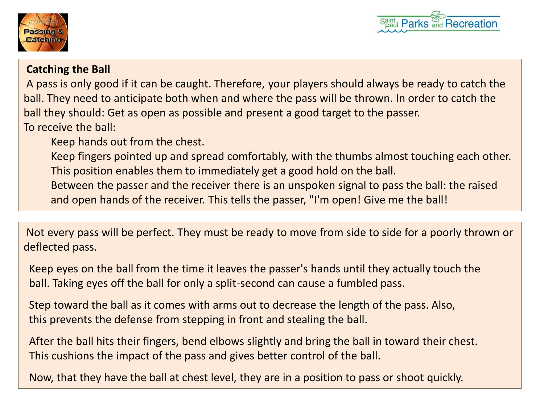



## **Catching the Ball**

A pass is only good if it can be caught. Therefore, your players should always be ready to catch the ball. They need to anticipate both when and where the pass will be thrown. In order to catch the ball they should: Get as open as possible and present a good target to the passer. To receive the ball:

Keep hands out from the chest.

Keep fingers pointed up and spread comfortably, with the thumbs almost touching each other. This position enables them to immediately get a good hold on the ball.

Between the passer and the receiver there is an unspoken signal to pass the ball: the raised and open hands of the receiver. This tells the passer, "I'm open! Give me the ball!

Not every pass will be perfect. They must be ready to move from side to side for a poorly thrown or deflected pass.

Keep eyes on the ball from the time it leaves the passer's hands until they actually touch the ball. Taking eyes off the ball for only a split-second can cause a fumbled pass.

Step toward the ball as it comes with arms out to decrease the length of the pass. Also, this prevents the defense from stepping in front and stealing the ball.

After the ball hits their fingers, bend elbows slightly and bring the ball in toward their chest. This cushions the impact of the pass and gives better control of the ball.

Now, that they have the ball at chest level, they are in a position to pass or shoot quickly.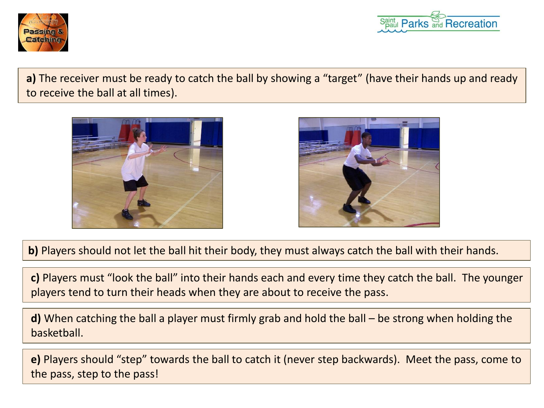



**a)** The receiver must be ready to catch the ball by showing a "target" (have their hands up and ready to receive the ball at all times).





**b)** Players should not let the ball hit their body, they must always catch the ball with their hands.

**c)** Players must "look the ball" into their hands each and every time they catch the ball. The younger players tend to turn their heads when they are about to receive the pass.

**d)** When catching the ball a player must firmly grab and hold the ball – be strong when holding the basketball.

**e)** Players should "step" towards the ball to catch it (never step backwards). Meet the pass, come to the pass, step to the pass!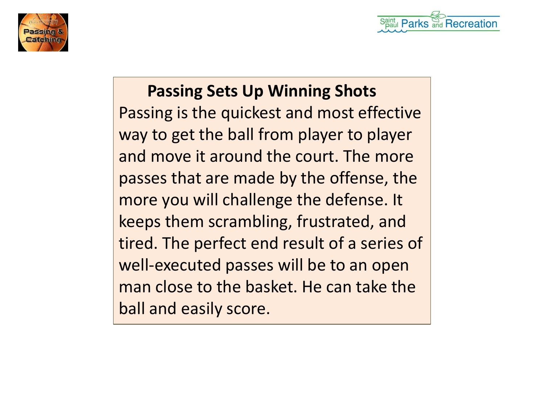

 **Passing Sets Up Winning Shots** Passing is the quickest and most effective way to get the ball from player to player and move it around the court. The more passes that are made by the offense, the more you will challenge the defense. It keeps them scrambling, frustrated, and tired. The perfect end result of a series of well-executed passes will be to an open man close to the basket. He can take the ball and easily score.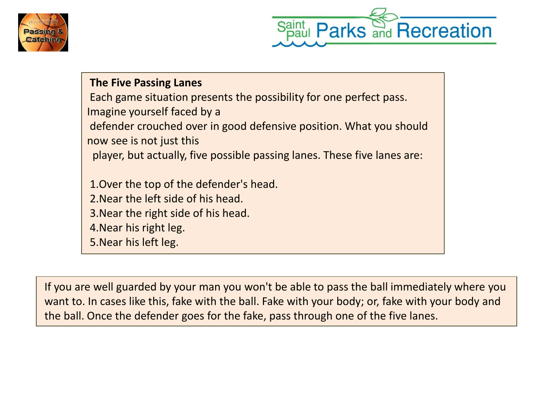



**The Five Passing Lanes** Each game situation presents the possibility for one perfect pass. Imagine yourself faced by a defender crouched over in good defensive position. What you should now see is not just this player, but actually, five possible passing lanes. These five lanes are: 1.Over the top of the defender's head. 2.Near the left side of his head. 3.Near the right side of his head. 4.Near his right leg. 5.Near his left leg.

If you are well guarded by your man you won't be able to pass the ball immediately where you want to. In cases like this, fake with the ball. Fake with your body; or, fake with your body and the ball. Once the defender goes for the fake, pass through one of the five lanes.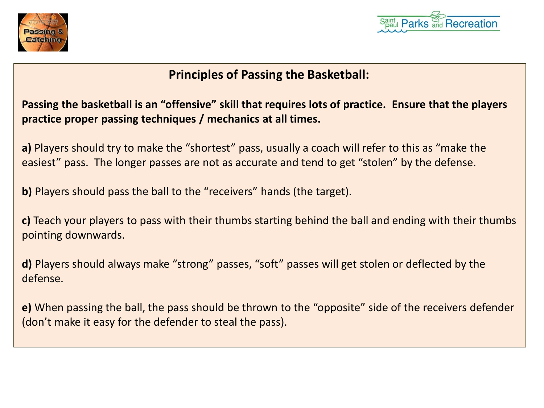



# **[Princ](http://www.google.com/url?sa=i&rct=j&q=&esrc=s&frm=1&source=images&cd=&cad=rja&docid=wshUi2Xqp0NV6M&tbnid=ZKAG0gtrL-ZH_M:&ved=0CAUQjRw&url=http://avcssbasketball.com/basics-passing-catching-basketball/&ei=_LCDUvSiMoz_yQHqkICwDw&bvm=bv.56343320,d.aWc&psig=AFQjCNHSS3wZjX5irhmp_QWprn0a6zyqqg&ust=1384448574234371)iples of Passing the Basketball:**

**Passing the basketball is an "offensive" skill that requires lots of practice. Ensure that the players practice proper passing techniques / mechanics at all times.**

**a)** Players should try to make the "shortest" pass, usually a coach will refer to this as "make the easiest" pass. The longer passes are not as accurate and tend to get "stolen" by the defense.

**b)** Players should pass the ball to the "receivers" hands (the target).

**c)** Teach your players to pass with their thumbs starting behind the ball and ending with their thumbs pointing downwards.

**d)** Players should always make "strong" passes, "soft" passes will get stolen or deflected by the defense.

**e)** When passing the ball, the pass should be thrown to the "opposite" side of the receivers defender (don't make it easy for the defender to steal the pass).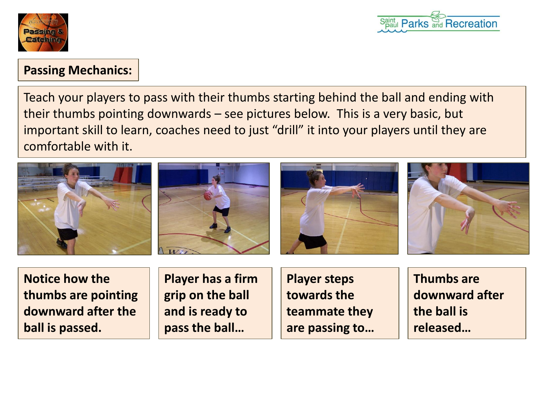



# **Passing Mechanics:**

Teach your players to pass with their thumbs starting behind the ball and ending with their thumbs pointing downwards – see pictures below. This is a very basic, but important skill to learn, coaches need to just "drill" it into your players until they are comfortable with it.









**Notice how the thumbs are pointing downward after the ball is passed.**

**Player has a firm grip on the ball and is ready to pass the ball…**

**Player steps towards the teammate they are passing to…** **Thumbs are downward after the ball is released…**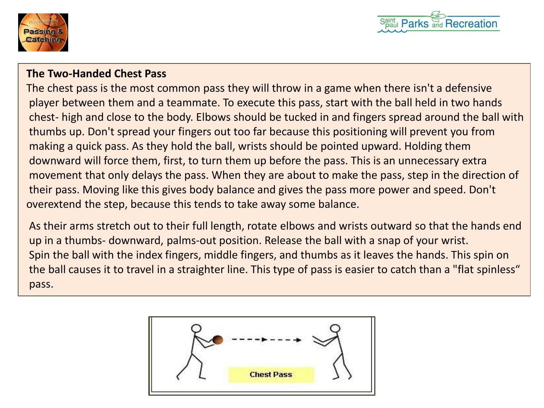



### **The Two-Handed Chest Pass**

The chest pass is the most common pass they will throw in a game when there isn't a defensive player between them and a teammate. To execute this pass, start with the ball held in two hands chest- high and close to the body. Elbows should be tucked in and fingers spread around the ball with thumbs up. Don't spread your fingers out too far because this positioning will prevent you from making a quick pass. As they hold the ball, wrists should be pointed upward. Holding them downward will force them, first, to turn them up before the pass. This is an unnecessary extra movement that only delays the pass. When they are about to make the pass, step in the direction of their pass. Moving like this gives body balance and gives the pass more power and speed. Don't overextend the step, because this tends to take away some balance.

As their arms stretch out to their full length, rotate elbows and wrists outward so that the hands end up in a thumbs- downward, palms-out position. Release the ball with a snap of your wrist. Spin the ball with the index fingers, middle fingers, and thumbs as it leaves the hands. This spin on the ball causes it to travel in a straighter line. This type of pass is easier to catch than a "flat spinless" pass.

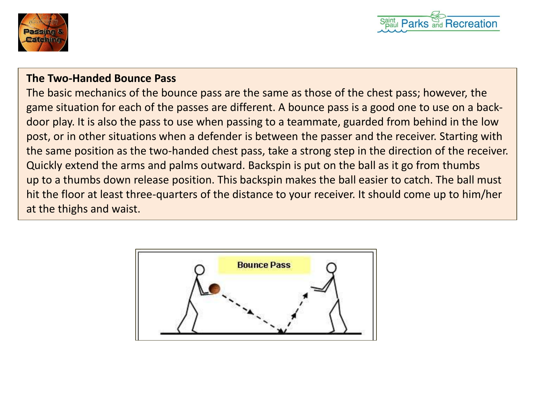



### **The Two-Handed Bounce Pass**

The basic mechanics of the bounce pass are the same as those of the chest pass; however, the game situation for each of the passes are different. A bounce pass is a good one to use on a backdoor play. It is also the pass to use when passing to a teammate, guarded from behind in the low post, or in other situations when a defender is between the passer and the receiver. Starting with the same position as the two-handed chest pass, take a strong step in the direction of the receiver. Quickly extend the arms and palms outward. Backspin is put on the ball as it go from thumbs up to a thumbs down release position. This backspin makes the ball easier to catch. The ball must hit the floor at least three-quarters of the distance to your receiver. It should come up to him/her at the thighs and waist.

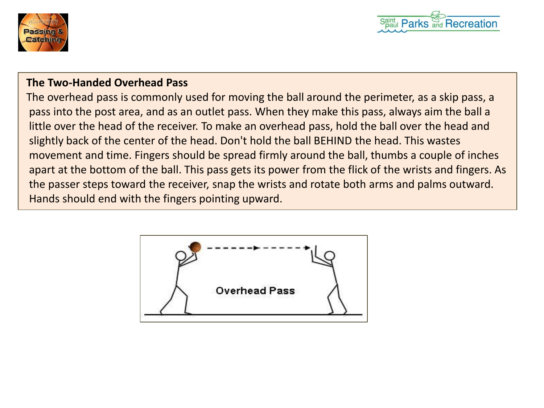



### **The Two-Handed Overhead Pass**

The overhead pass is commonly used for moving the ball around the perimeter, as a skip pass, a pass into the post area, and as an outlet pass. When they make this pass, always aim the ball a little over the head of the receiver. To make an overhead pass, hold the ball over the head and slightly back of the center of the head. Don't hold the ball BEHIND the head. This wastes movement and time. Fingers should be spread firmly around the ball, thumbs a couple of inches apart at the bottom of the ball. This pass gets its power from the flick of the wrists and fingers. As the passer steps toward the receiver, snap the wrists and rotate both arms and palms outward. Hands should end with the fingers pointing upward.

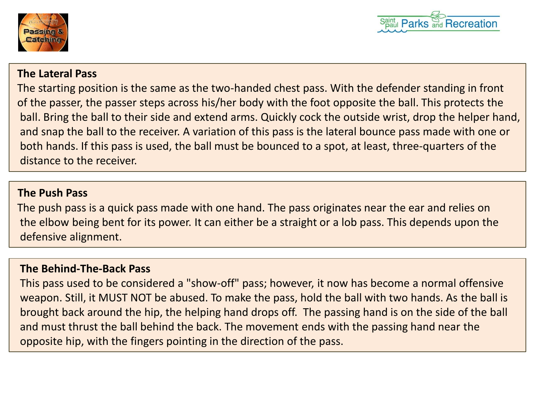



#### **The Lateral Pass**

The starting position is the same as the two-handed chest pass. With the defender standing in front of the passer, the passer steps across his/her body with the foot opposite the ball. This protects the ball. Bring the ball to their side and extend arms. Quickly cock the outside wrist, drop the helper hand, and snap the ball to the receiver. A variation of this pass is the lateral bounce pass made with one or both hands. If this pass is used, the ball must be bounced to a spot, at least, three-quarters of the distance to the receiver.

### **The Push Pass**

The push pass is a quick pass made with one hand. The pass originates near the ear and relies on the elbow being bent for its power. It can either be a straight or a lob pass. This depends upon the defensive alignment.

## **The Behind-The-Back Pass**

This pass used to be considered a "show-off" pass; however, it now has become a normal offensive weapon. Still, it MUST NOT be abused. To make the pass, hold the ball with two hands. As the ball is brought back around the hip, the helping hand drops off. The passing hand is on the side of the ball and must thrust the ball behind the back. The movement ends with the passing hand near the opposite hip, with the fingers pointing in the direction of the pass.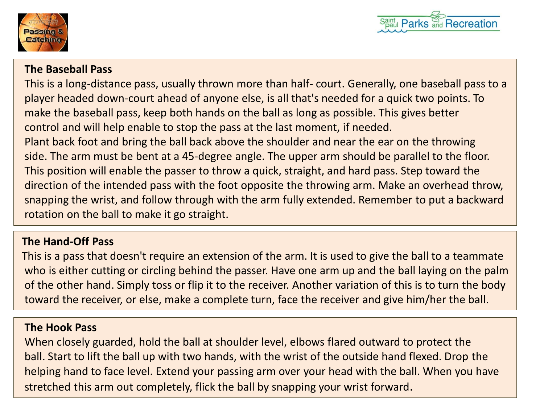



### **The Baseball Pass**

This is a long-distance pass, usually thrown more than half- court. Generally, one baseball pass to a player headed down-court ahead of anyone else, is all that's needed for a quick two points. To make the baseball pass, keep both hands on the ball as long as possible. This gives better control and will help enable to stop the pass at the last moment, if needed. Plant back foot and bring the ball back above the shoulder and near the ear on the throwing side. The arm must be bent at a 45-degree angle. The upper arm should be parallel to the floor. This position will enable the passer to throw a quick, straight, and hard pass. Step toward the direction of the intended pass with the foot opposite the throwing arm. Make an overhead throw, snapping the wrist, and follow through with the arm fully extended. Remember to put a backward rotation on the ball to make it go straight.

## **The Hand-Off Pass**

This is a pass that doesn't require an extension of the arm. It is used to give the ball to a teammate who is either cutting or circling behind the passer. Have one arm up and the ball laying on the palm of the other hand. Simply toss or flip it to the receiver. Another variation of this is to turn the body toward the receiver, or else, make a complete turn, face the receiver and give him/her the ball.

#### **The Hook Pass**

When closely guarded, hold the ball at shoulder level, elbows flared outward to protect the ball. Start to lift the ball up with two hands, with the wrist of the outside hand flexed. Drop the helping hand to face level. Extend your passing arm over your head with the ball. When you have stretched this arm out completely, flick the ball by snapping your wrist forward.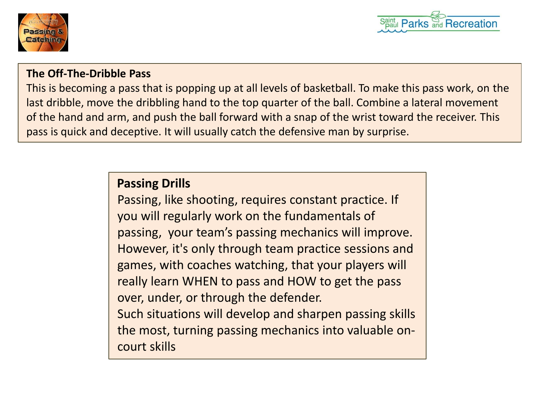



## **The Off-The-Dribble Pass**

This is becoming a pass that is popping up at all levels of basketball. To make this pass work, on the last dribble, move the dribbling hand to the top quarter of the ball. Combine a lateral movement of the hand and arm, and push the ball forward with a snap of the wrist toward the receiver. This pass is quick and deceptive. It will usually catch the defensive man by surprise.

# **Passing Drills**

Passing, like shooting, requires constant practice. If you will regularly work on the fundamentals of passing, your team's passing mechanics will improve. However, it's only through team practice sessions and games, with coaches watching, that your players will really learn WHEN to pass and HOW to get the pass over, under, or through the defender. Such situations will develop and sharpen passing skills the most, turning passing mechanics into valuable oncourt skills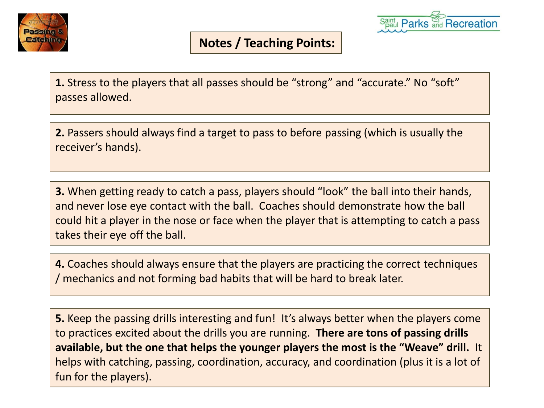



## **Notes / Teaching Points:**

**1.** Stress to the players that all passes should be "strong" and "accurate." No "soft" passes allowed.

**2.** Passers should always find a target to pass to before passing (which is usually the receiver's hands).

**3.** When getting ready to catch a pass, players should "look" the ball into their hands, and never lose eye contact with the ball. Coaches should demonstrate how the ball could hit a player in the nose or face when the player that is attempting to catch a pass takes their eye off the ball.

**4.** Coaches should always ensure that the players are practicing the correct techniques / mechanics and not forming bad habits that will be hard to break later.

**5.** Keep the passing drills interesting and fun! It's always better when the players come to practices excited about the drills you are running. **There are tons of passing drills available, but the one that helps the younger players the most is the "Weave" drill.** It helps with catching, passing, coordination, accuracy, and coordination (plus it is a lot of fun for the players).